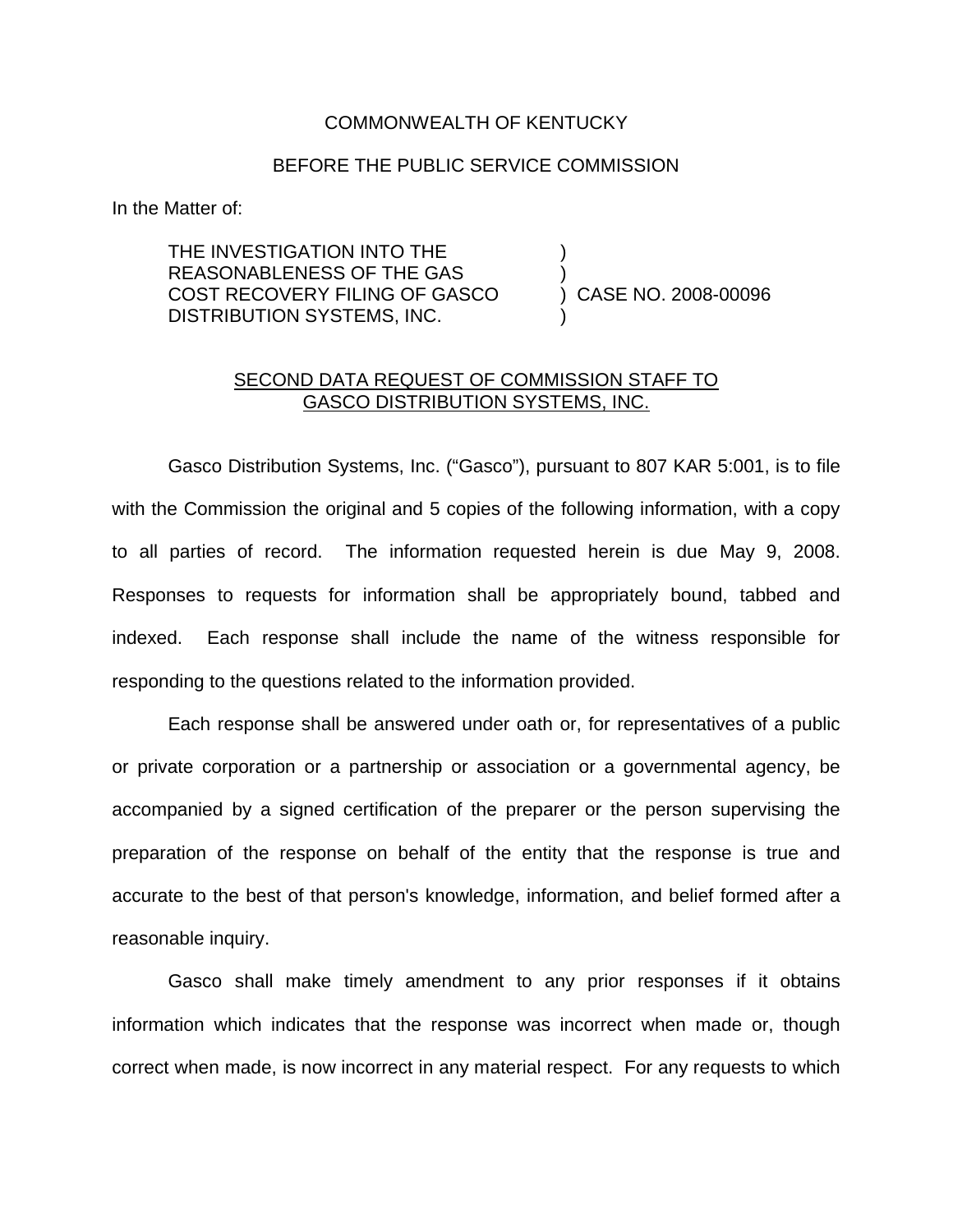## COMMONWEALTH OF KENTUCKY

## BEFORE THE PUBLIC SERVICE COMMISSION

In the Matter of:

THE INVESTIGATION INTO THE REASONABLENESS OF THE GAS ) COST RECOVERY FILING OF GASCO DISTRIBUTION SYSTEMS, INC.

## SECOND DATA REQUEST OF COMMISSION STAFF TO GASCO DISTRIBUTION SYSTEMS, INC.

Gasco Distribution Systems, Inc. ("Gasco"), pursuant to 807 KAR 5:001, is to file with the Commission the original and 5 copies of the following information, with a copy to all parties of record. The information requested herein is due May 9, 2008. Responses to requests for information shall be appropriately bound, tabbed and indexed. Each response shall include the name of the witness responsible for responding to the questions related to the information provided.

Each response shall be answered under oath or, for representatives of a public or private corporation or a partnership or association or a governmental agency, be accompanied by a signed certification of the preparer or the person supervising the preparation of the response on behalf of the entity that the response is true and accurate to the best of that person's knowledge, information, and belief formed after a reasonable inquiry.

Gasco shall make timely amendment to any prior responses if it obtains information which indicates that the response was incorrect when made or, though correct when made, is now incorrect in any material respect. For any requests to which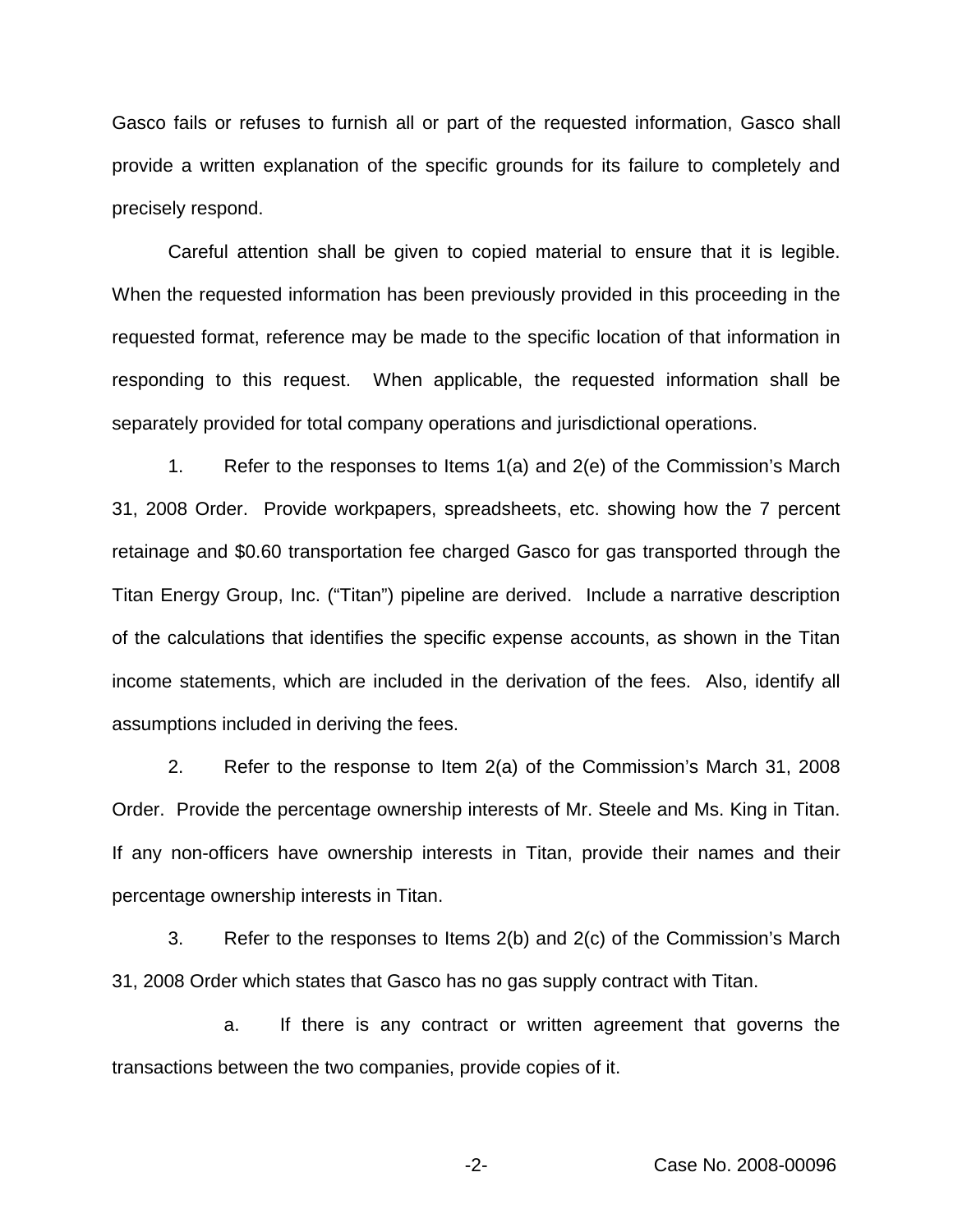Gasco fails or refuses to furnish all or part of the requested information, Gasco shall provide a written explanation of the specific grounds for its failure to completely and precisely respond.

Careful attention shall be given to copied material to ensure that it is legible. When the requested information has been previously provided in this proceeding in the requested format, reference may be made to the specific location of that information in responding to this request. When applicable, the requested information shall be separately provided for total company operations and jurisdictional operations.

1. Refer to the responses to Items 1(a) and 2(e) of the Commission's March 31, 2008 Order. Provide workpapers, spreadsheets, etc. showing how the 7 percent retainage and \$0.60 transportation fee charged Gasco for gas transported through the Titan Energy Group, Inc. ("Titan") pipeline are derived. Include a narrative description of the calculations that identifies the specific expense accounts, as shown in the Titan income statements, which are included in the derivation of the fees. Also, identify all assumptions included in deriving the fees.

2. Refer to the response to Item 2(a) of the Commission's March 31, 2008 Order. Provide the percentage ownership interests of Mr. Steele and Ms. King in Titan. If any non-officers have ownership interests in Titan, provide their names and their percentage ownership interests in Titan.

3. Refer to the responses to Items 2(b) and 2(c) of the Commission's March 31, 2008 Order which states that Gasco has no gas supply contract with Titan.

a. If there is any contract or written agreement that governs the transactions between the two companies, provide copies of it.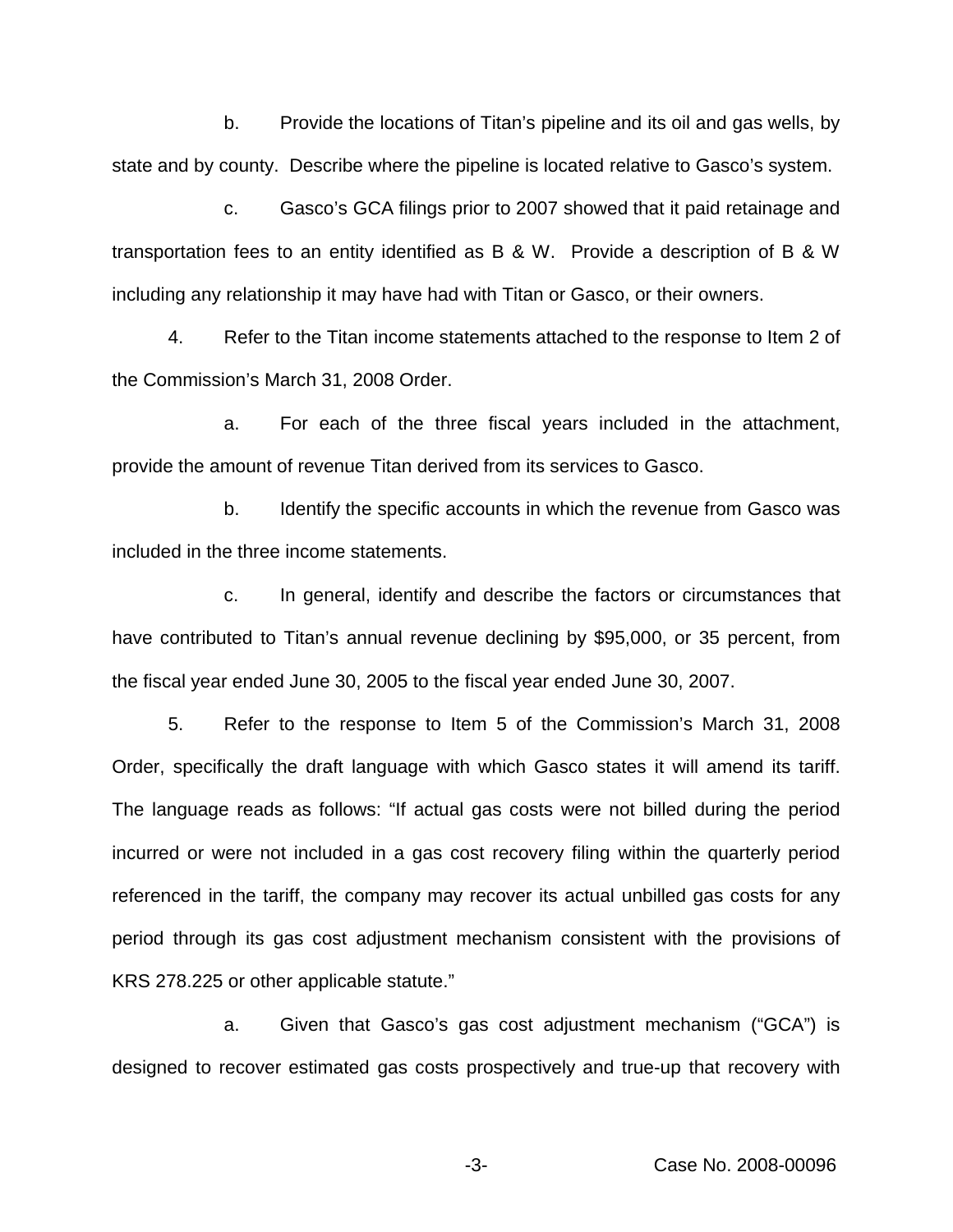b. Provide the locations of Titan's pipeline and its oil and gas wells, by state and by county. Describe where the pipeline is located relative to Gasco's system.

c. Gasco's GCA filings prior to 2007 showed that it paid retainage and transportation fees to an entity identified as B & W. Provide a description of B & W including any relationship it may have had with Titan or Gasco, or their owners.

4. Refer to the Titan income statements attached to the response to Item 2 of the Commission's March 31, 2008 Order.

a. For each of the three fiscal years included in the attachment, provide the amount of revenue Titan derived from its services to Gasco.

b. Identify the specific accounts in which the revenue from Gasco was included in the three income statements.

c. In general, identify and describe the factors or circumstances that have contributed to Titan's annual revenue declining by \$95,000, or 35 percent, from the fiscal year ended June 30, 2005 to the fiscal year ended June 30, 2007.

5. Refer to the response to Item 5 of the Commission's March 31, 2008 Order, specifically the draft language with which Gasco states it will amend its tariff. The language reads as follows: "If actual gas costs were not billed during the period incurred or were not included in a gas cost recovery filing within the quarterly period referenced in the tariff, the company may recover its actual unbilled gas costs for any period through its gas cost adjustment mechanism consistent with the provisions of KRS 278.225 or other applicable statute."

a. Given that Gasco's gas cost adjustment mechanism ("GCA") is designed to recover estimated gas costs prospectively and true-up that recovery with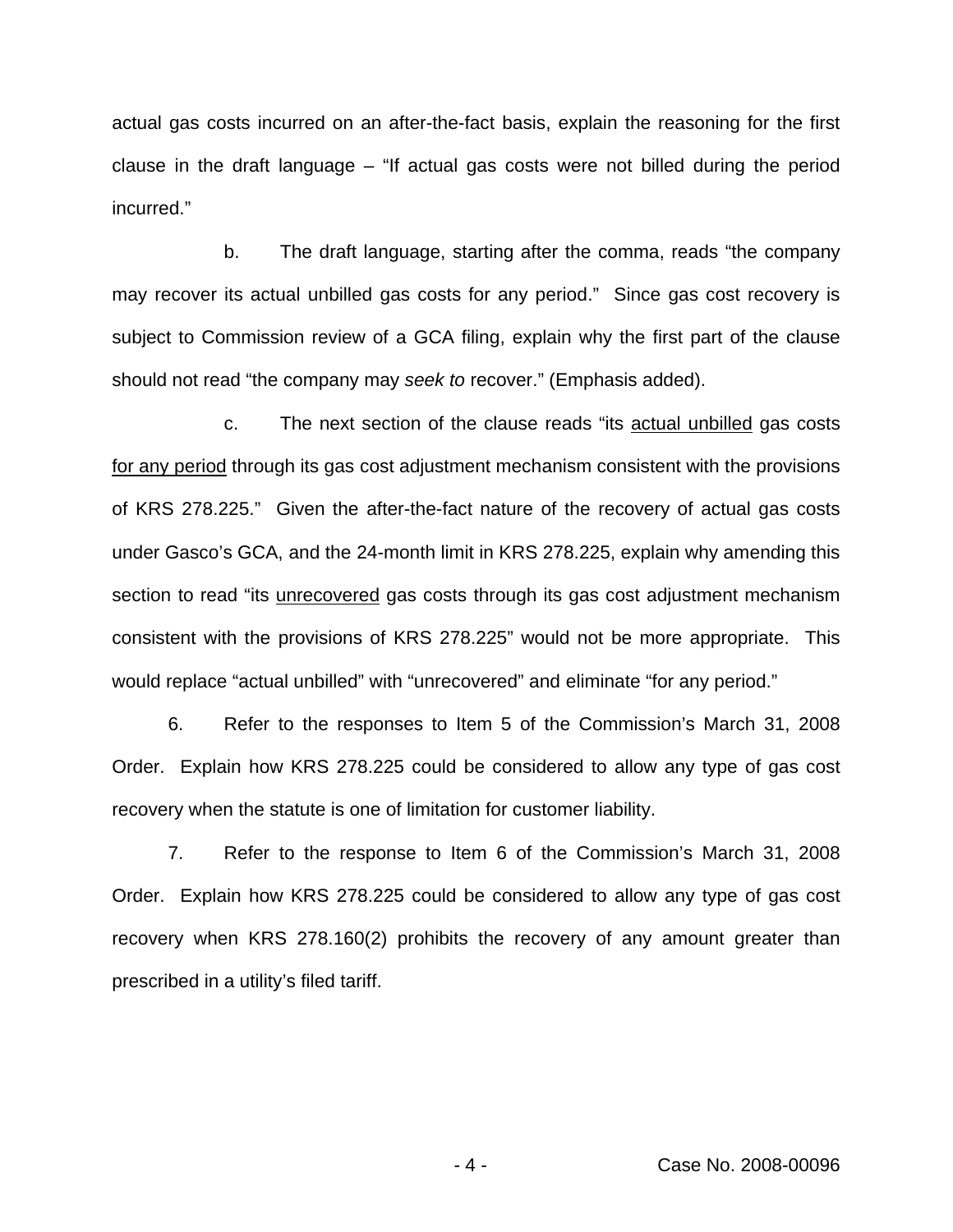actual gas costs incurred on an after-the-fact basis, explain the reasoning for the first clause in the draft language – "If actual gas costs were not billed during the period incurred."

b. The draft language, starting after the comma, reads "the company may recover its actual unbilled gas costs for any period." Since gas cost recovery is subject to Commission review of a GCA filing, explain why the first part of the clause should not read "the company may *seek to* recover." (Emphasis added).

c. The next section of the clause reads "its actual unbilled gas costs for any period through its gas cost adjustment mechanism consistent with the provisions of KRS 278.225." Given the after-the-fact nature of the recovery of actual gas costs under Gasco's GCA, and the 24-month limit in KRS 278.225, explain why amending this section to read "its unrecovered gas costs through its gas cost adjustment mechanism consistent with the provisions of KRS 278.225" would not be more appropriate. This would replace "actual unbilled" with "unrecovered" and eliminate "for any period."

6. Refer to the responses to Item 5 of the Commission's March 31, 2008 Order. Explain how KRS 278.225 could be considered to allow any type of gas cost recovery when the statute is one of limitation for customer liability.

7. Refer to the response to Item 6 of the Commission's March 31, 2008 Order. Explain how KRS 278.225 could be considered to allow any type of gas cost recovery when KRS 278.160(2) prohibits the recovery of any amount greater than prescribed in a utility's filed tariff.